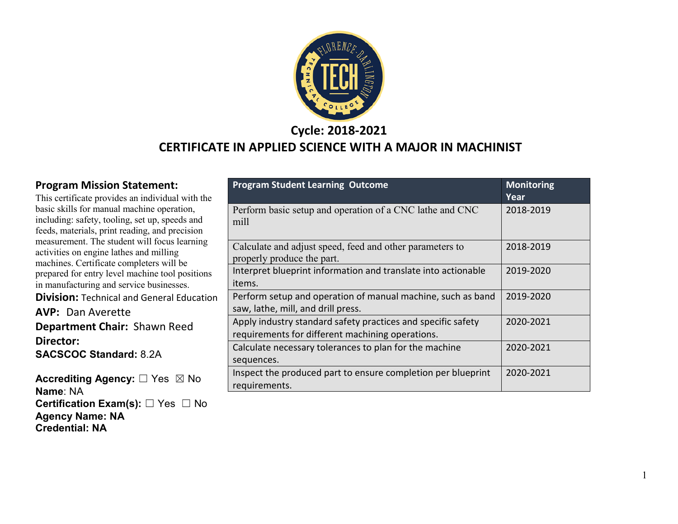

#### **Cycle: 2018-2021 CERTIFICATE IN APPLIED SCIENCE WITH A MAJOR IN MACHINIST**

#### **Program Mission Statement:**

This certificate provides an individual with the basic skills for manual machine operation, including: safety, tooling, set up, speeds and feeds, materials, print reading, and precision measurement. The student will focus learning activities on engine lathes and milling machines. Certificate completers will be prepared for entry level machine tool positions in manufacturing and service businesses.

**Division:** Technical and General Education

**AVP:** Dan Averette **Department Chair:** Shawn Reed **Director: SACSCOC Standard:** 8.2A

**Accrediting Agency:** ☐ Yes ☒ No **Name**: NA **Certification Exam(s):** ☐ Yes ☐ No **Agency Name: NA Credential: NA**

| <b>Program Student Learning Outcome</b>                                                                          | <b>Monitoring</b><br>Year |
|------------------------------------------------------------------------------------------------------------------|---------------------------|
| Perform basic setup and operation of a CNC lathe and CNC<br>mill                                                 | 2018-2019                 |
| Calculate and adjust speed, feed and other parameters to<br>properly produce the part.                           | 2018-2019                 |
| Interpret blueprint information and translate into actionable<br>items.                                          | 2019-2020                 |
| Perform setup and operation of manual machine, such as band<br>saw, lathe, mill, and drill press.                | 2019-2020                 |
| Apply industry standard safety practices and specific safety<br>requirements for different machining operations. | 2020-2021                 |
| Calculate necessary tolerances to plan for the machine<br>sequences.                                             | 2020-2021                 |
| Inspect the produced part to ensure completion per blueprint<br>requirements.                                    | 2020-2021                 |

1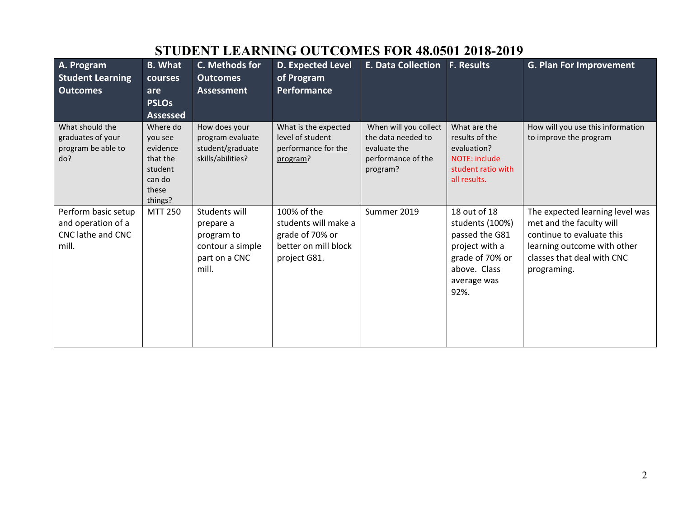| A. Program              | <b>B.</b> What   | C. Methods for    | <b>D. Expected Level</b> | <b>E. Data Collection</b> | <b>F. Results</b>    | <b>G. Plan For Improvement</b>    |
|-------------------------|------------------|-------------------|--------------------------|---------------------------|----------------------|-----------------------------------|
| <b>Student Learning</b> | courses          | <b>Outcomes</b>   | of Program               |                           |                      |                                   |
|                         |                  |                   |                          |                           |                      |                                   |
| <b>Outcomes</b>         | are              | <b>Assessment</b> | Performance              |                           |                      |                                   |
|                         | <b>PSLOs</b>     |                   |                          |                           |                      |                                   |
|                         | <b>Assessed</b>  |                   |                          |                           |                      |                                   |
| What should the         | Where do         | How does your     | What is the expected     | When will you collect     | What are the         | How will you use this information |
| graduates of your       | you see          | program evaluate  | level of student         | the data needed to        | results of the       | to improve the program            |
| program be able to      | evidence         | student/graduate  | performance for the      | evaluate the              | evaluation?          |                                   |
| do?                     | that the         | skills/abilities? | program?                 | performance of the        | <b>NOTE: include</b> |                                   |
|                         | student          |                   |                          | program?                  | student ratio with   |                                   |
|                         | can do           |                   |                          |                           | all results.         |                                   |
|                         | these<br>things? |                   |                          |                           |                      |                                   |
| Perform basic setup     | <b>MTT 250</b>   | Students will     | 100% of the              | Summer 2019               | 18 out of 18         | The expected learning level was   |
| and operation of a      |                  | prepare a         | students will make a     |                           | students (100%)      | met and the faculty will          |
| CNC lathe and CNC       |                  | program to        | grade of 70% or          |                           | passed the G81       | continue to evaluate this         |
| mill.                   |                  | contour a simple  | better on mill block     |                           | project with a       | learning outcome with other       |
|                         |                  | part on a CNC     | project G81.             |                           | grade of 70% or      | classes that deal with CNC        |
|                         |                  | mill.             |                          |                           | above. Class         |                                   |
|                         |                  |                   |                          |                           |                      | programing.                       |
|                         |                  |                   |                          |                           | average was          |                                   |
|                         |                  |                   |                          |                           | 92%.                 |                                   |
|                         |                  |                   |                          |                           |                      |                                   |
|                         |                  |                   |                          |                           |                      |                                   |
|                         |                  |                   |                          |                           |                      |                                   |
|                         |                  |                   |                          |                           |                      |                                   |

# **STUDENT LEARNING OUTCOMES FOR 48.0501 2018-2019**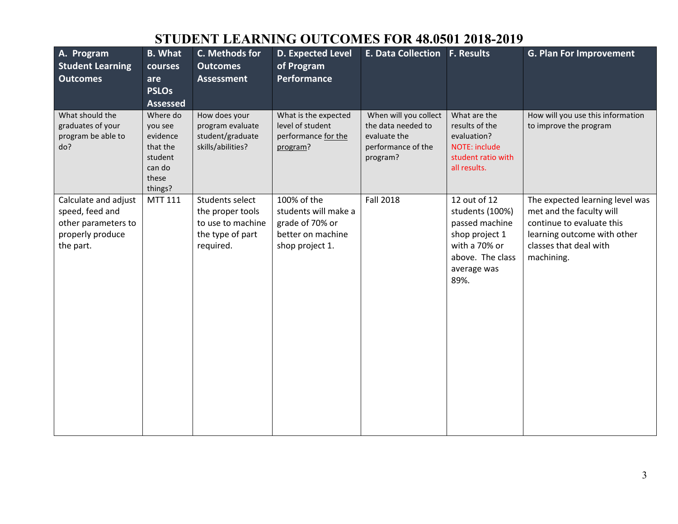#### **STUDENT LEARNING OUTCOMES FOR 48.0501 2018-2019**

| A. Program<br><b>Student Learning</b><br><b>Outcomes</b>                                        | <b>B.</b> What<br>courses<br>are<br><b>PSLOs</b><br><b>Assessed</b>                  | C. Methods for<br><b>Outcomes</b><br><b>Assessment</b>                                    | <b>D. Expected Level</b><br>of Program<br><b>Performance</b>                                   | E. Data Collection F. Results                                                                 |                                                                                                                                 | <b>G. Plan For Improvement</b>                                                                                                                                  |
|-------------------------------------------------------------------------------------------------|--------------------------------------------------------------------------------------|-------------------------------------------------------------------------------------------|------------------------------------------------------------------------------------------------|-----------------------------------------------------------------------------------------------|---------------------------------------------------------------------------------------------------------------------------------|-----------------------------------------------------------------------------------------------------------------------------------------------------------------|
| What should the<br>graduates of your<br>program be able to<br>do?                               | Where do<br>you see<br>evidence<br>that the<br>student<br>can do<br>these<br>things? | How does your<br>program evaluate<br>student/graduate<br>skills/abilities?                | What is the expected<br>level of student<br>performance for the<br>program?                    | When will you collect<br>the data needed to<br>evaluate the<br>performance of the<br>program? | What are the<br>results of the<br>evaluation?<br>NOTE: include<br>student ratio with<br>all results.                            | How will you use this information<br>to improve the program                                                                                                     |
| Calculate and adjust<br>speed, feed and<br>other parameters to<br>properly produce<br>the part. | MTT 111                                                                              | Students select<br>the proper tools<br>to use to machine<br>the type of part<br>required. | 100% of the<br>students will make a<br>grade of 70% or<br>better on machine<br>shop project 1. | <b>Fall 2018</b>                                                                              | 12 out of 12<br>students (100%)<br>passed machine<br>shop project 1<br>with a 70% or<br>above. The class<br>average was<br>89%. | The expected learning level was<br>met and the faculty will<br>continue to evaluate this<br>learning outcome with other<br>classes that deal with<br>machining. |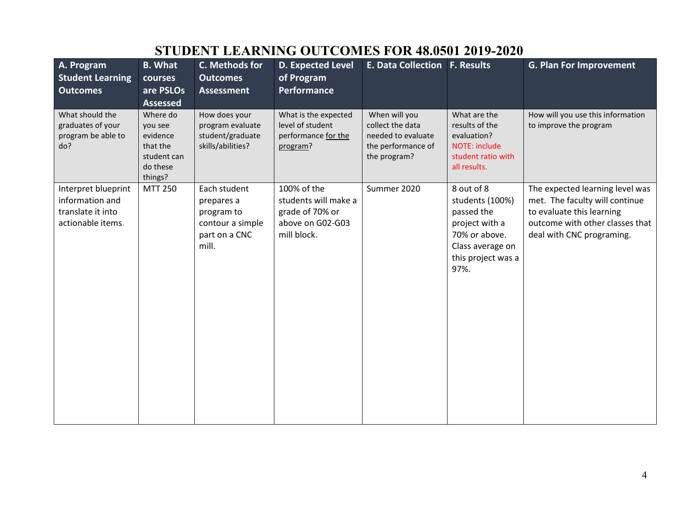|                                                                                  |                                                                                   |                                                                                        | рторыл шимлло остеольны г                                                                 |                                                                                               | <b>VINTUOVAL EVIZ EVEN</b>                                                                                                       |                                                                                                                                                                |
|----------------------------------------------------------------------------------|-----------------------------------------------------------------------------------|----------------------------------------------------------------------------------------|-------------------------------------------------------------------------------------------|-----------------------------------------------------------------------------------------------|----------------------------------------------------------------------------------------------------------------------------------|----------------------------------------------------------------------------------------------------------------------------------------------------------------|
| A. Program<br><b>Student Learning</b>                                            | <b>B.</b> What<br>courses                                                         | C. Methods for<br><b>Outcomes</b>                                                      | <b>D. Expected Level</b><br>of Program                                                    | E. Data Collection   F. Results                                                               |                                                                                                                                  | <b>G. Plan For Improvement</b>                                                                                                                                 |
| <b>Outcomes</b>                                                                  | are PSLOs                                                                         | <b>Assessment</b>                                                                      | <b>Performance</b>                                                                        |                                                                                               |                                                                                                                                  |                                                                                                                                                                |
|                                                                                  | <b>Assessed</b>                                                                   |                                                                                        |                                                                                           |                                                                                               |                                                                                                                                  |                                                                                                                                                                |
| What should the<br>graduates of your<br>program be able to<br>do?                | Where do<br>you see<br>evidence<br>that the<br>student can<br>do these<br>things? | How does your<br>program evaluate<br>student/graduate<br>skills/abilities?             | What is the expected<br>level of student<br>performance for the<br>program?               | When will you<br>collect the data<br>needed to evaluate<br>the performance of<br>the program? | What are the<br>results of the<br>evaluation?<br>NOTE: include<br>student ratio with<br>all results.                             | How will you use this information<br>to improve the program                                                                                                    |
| Interpret blueprint<br>information and<br>translate it into<br>actionable items. | <b>MTT 250</b>                                                                    | Each student<br>prepares a<br>program to<br>contour a simple<br>part on a CNC<br>mill. | 100% of the<br>students will make a<br>grade of 70% or<br>above on G02-G03<br>mill block. | Summer 2020                                                                                   | 8 out of 8<br>students (100%)<br>passed the<br>project with a<br>70% or above.<br>Class average on<br>this project was a<br>97%. | The expected learning level was<br>met. The faculty will continue<br>to evaluate this learning<br>outcome with other classes that<br>deal with CNC programing. |

#### **STUDENT LEARNING OUTCOMES FOR 48.0501 2019-2020**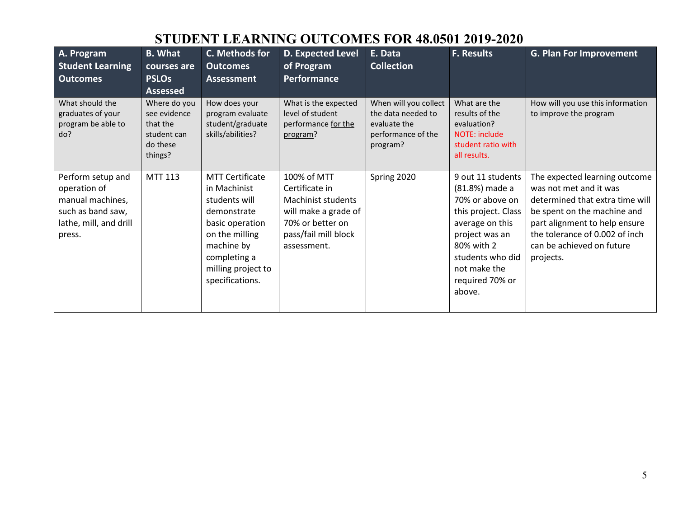#### **STUDENT LEARNING OUTCOMES FOR 48.0501 2019-2020**

| A. Program<br><b>Student Learning</b><br><b>Outcomes</b>                                                       | <b>B.</b> What<br>courses are<br><b>PSLOs</b><br><b>Assessed</b>               | C. Methods for<br><b>Outcomes</b><br><b>Assessment</b>                                                                                                                             | D. Expected Level<br>of Program<br>Performance                                                                                         | E. Data<br><b>Collection</b>                                                                  | <b>F. Results</b>                                                                                                                                                                                 | <b>G. Plan For Improvement</b>                                                                                                                                                                                                         |
|----------------------------------------------------------------------------------------------------------------|--------------------------------------------------------------------------------|------------------------------------------------------------------------------------------------------------------------------------------------------------------------------------|----------------------------------------------------------------------------------------------------------------------------------------|-----------------------------------------------------------------------------------------------|---------------------------------------------------------------------------------------------------------------------------------------------------------------------------------------------------|----------------------------------------------------------------------------------------------------------------------------------------------------------------------------------------------------------------------------------------|
| What should the<br>graduates of your<br>program be able to<br>do?                                              | Where do you<br>see evidence<br>that the<br>student can<br>do these<br>things? | How does your<br>program evaluate<br>student/graduate<br>skills/abilities?                                                                                                         | What is the expected<br>level of student<br>performance for the<br>program?                                                            | When will you collect<br>the data needed to<br>evaluate the<br>performance of the<br>program? | What are the<br>results of the<br>evaluation?<br><b>NOTE: include</b><br>student ratio with<br>all results.                                                                                       | How will you use this information<br>to improve the program                                                                                                                                                                            |
| Perform setup and<br>operation of<br>manual machines,<br>such as band saw,<br>lathe, mill, and drill<br>press. | MTT 113                                                                        | <b>MTT Certificate</b><br>in Machinist<br>students will<br>demonstrate<br>basic operation<br>on the milling<br>machine by<br>completing a<br>milling project to<br>specifications. | 100% of MTT<br>Certificate in<br>Machinist students<br>will make a grade of<br>70% or better on<br>pass/fail mill block<br>assessment. | Spring 2020                                                                                   | 9 out 11 students<br>(81.8%) made a<br>70% or above on<br>this project. Class<br>average on this<br>project was an<br>80% with 2<br>students who did<br>not make the<br>required 70% or<br>above. | The expected learning outcome<br>was not met and it was<br>determined that extra time will<br>be spent on the machine and<br>part alignment to help ensure<br>the tolerance of 0.002 of inch<br>can be achieved on future<br>projects. |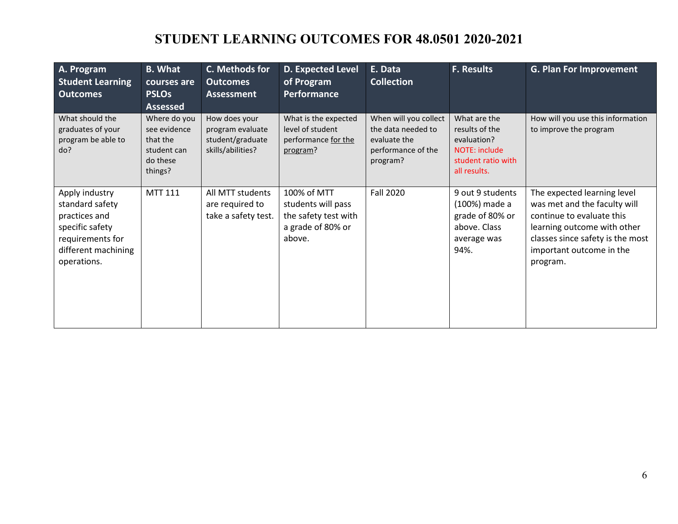## **STUDENT LEARNING OUTCOMES FOR 48.0501 2020-2021**

| A. Program<br><b>Student Learning</b><br><b>Outcomes</b>                                                                        | <b>B.</b> What<br>courses are<br><b>PSLOs</b><br><b>Assessed</b>               | C. Methods for<br><b>Outcomes</b><br><b>Assessment</b>                     | <b>D. Expected Level</b><br>of Program<br>Performance                                    | E. Data<br><b>Collection</b>                                                                  | <b>F. Results</b>                                                                                           | <b>G. Plan For Improvement</b>                                                                                                                                                                      |
|---------------------------------------------------------------------------------------------------------------------------------|--------------------------------------------------------------------------------|----------------------------------------------------------------------------|------------------------------------------------------------------------------------------|-----------------------------------------------------------------------------------------------|-------------------------------------------------------------------------------------------------------------|-----------------------------------------------------------------------------------------------------------------------------------------------------------------------------------------------------|
| What should the<br>graduates of your<br>program be able to<br>do?                                                               | Where do you<br>see evidence<br>that the<br>student can<br>do these<br>things? | How does your<br>program evaluate<br>student/graduate<br>skills/abilities? | What is the expected<br>level of student<br>performance for the<br>program?              | When will you collect<br>the data needed to<br>evaluate the<br>performance of the<br>program? | What are the<br>results of the<br>evaluation?<br><b>NOTE: include</b><br>student ratio with<br>all results. | How will you use this information<br>to improve the program                                                                                                                                         |
| Apply industry<br>standard safety<br>practices and<br>specific safety<br>requirements for<br>different machining<br>operations. | <b>MTT 111</b>                                                                 | All MTT students<br>are required to<br>take a safety test.                 | 100% of MTT<br>students will pass<br>the safety test with<br>a grade of 80% or<br>above. | <b>Fall 2020</b>                                                                              | 9 out 9 students<br>(100%) made a<br>grade of 80% or<br>above. Class<br>average was<br>94%.                 | The expected learning level<br>was met and the faculty will<br>continue to evaluate this<br>learning outcome with other<br>classes since safety is the most<br>important outcome in the<br>program. |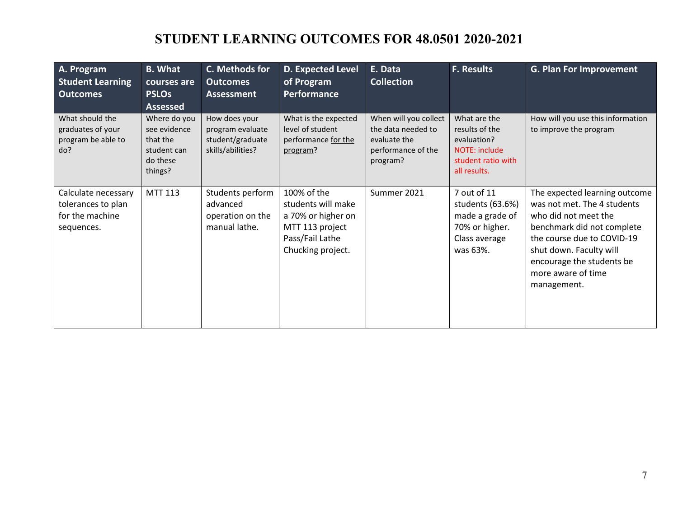## **STUDENT LEARNING OUTCOMES FOR 48.0501 2020-2021**

| A. Program<br><b>Student Learning</b><br><b>Outcomes</b>                   | <b>B.</b> What<br>courses are<br><b>PSLOs</b><br><b>Assessed</b>               | C. Methods for<br><b>Outcomes</b><br><b>Assessment</b>                     | <b>D. Expected Level</b><br>of Program<br>Performance                                                              | E. Data<br><b>Collection</b>                                                                  | <b>F. Results</b>                                                                                    | <b>G. Plan For Improvement</b>                                                                                                                                                                                                                |
|----------------------------------------------------------------------------|--------------------------------------------------------------------------------|----------------------------------------------------------------------------|--------------------------------------------------------------------------------------------------------------------|-----------------------------------------------------------------------------------------------|------------------------------------------------------------------------------------------------------|-----------------------------------------------------------------------------------------------------------------------------------------------------------------------------------------------------------------------------------------------|
| What should the<br>graduates of your<br>program be able to<br>do?          | Where do you<br>see evidence<br>that the<br>student can<br>do these<br>things? | How does your<br>program evaluate<br>student/graduate<br>skills/abilities? | What is the expected<br>level of student<br>performance for the<br>program?                                        | When will you collect<br>the data needed to<br>evaluate the<br>performance of the<br>program? | What are the<br>results of the<br>evaluation?<br>NOTE: include<br>student ratio with<br>all results. | How will you use this information<br>to improve the program                                                                                                                                                                                   |
| Calculate necessary<br>tolerances to plan<br>for the machine<br>sequences. | <b>MTT 113</b>                                                                 | Students perform<br>advanced<br>operation on the<br>manual lathe.          | 100% of the<br>students will make<br>a 70% or higher on<br>MTT 113 project<br>Pass/Fail Lathe<br>Chucking project. | Summer 2021                                                                                   | 7 out of 11<br>students (63.6%)<br>made a grade of<br>70% or higher.<br>Class average<br>was 63%.    | The expected learning outcome<br>was not met. The 4 students<br>who did not meet the<br>benchmark did not complete<br>the course due to COVID-19<br>shut down. Faculty will<br>encourage the students be<br>more aware of time<br>management. |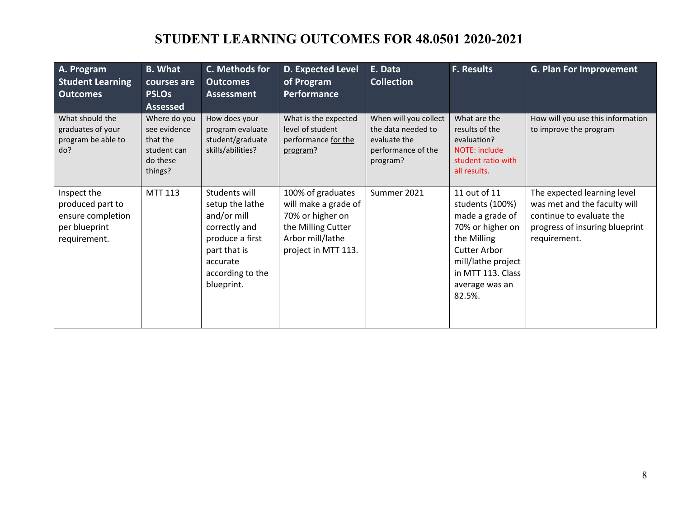## **STUDENT LEARNING OUTCOMES FOR 48.0501 2020-2021**

| A. Program<br><b>Student Learning</b><br><b>Outcomes</b>                              | <b>B.</b> What<br>courses are<br><b>PSLOs</b><br><b>Assessed</b>               | C. Methods for<br><b>Outcomes</b><br><b>Assessment</b>                                                                                            | <b>D. Expected Level</b><br>of Program<br>Performance                                                                          | E. Data<br><b>Collection</b>                                                                  | <b>F. Results</b>                                                                                                                                                                   | <b>G. Plan For Improvement</b>                                                                                                            |
|---------------------------------------------------------------------------------------|--------------------------------------------------------------------------------|---------------------------------------------------------------------------------------------------------------------------------------------------|--------------------------------------------------------------------------------------------------------------------------------|-----------------------------------------------------------------------------------------------|-------------------------------------------------------------------------------------------------------------------------------------------------------------------------------------|-------------------------------------------------------------------------------------------------------------------------------------------|
| What should the<br>graduates of your<br>program be able to<br>do?                     | Where do you<br>see evidence<br>that the<br>student can<br>do these<br>things? | How does your<br>program evaluate<br>student/graduate<br>skills/abilities?                                                                        | What is the expected<br>level of student<br>performance for the<br>program?                                                    | When will you collect<br>the data needed to<br>evaluate the<br>performance of the<br>program? | What are the<br>results of the<br>evaluation?<br><b>NOTE: include</b><br>student ratio with<br>all results.                                                                         | How will you use this information<br>to improve the program                                                                               |
| Inspect the<br>produced part to<br>ensure completion<br>per blueprint<br>requirement. | MTT 113                                                                        | Students will<br>setup the lathe<br>and/or mill<br>correctly and<br>produce a first<br>part that is<br>accurate<br>according to the<br>blueprint. | 100% of graduates<br>will make a grade of<br>70% or higher on<br>the Milling Cutter<br>Arbor mill/lathe<br>project in MTT 113. | Summer 2021                                                                                   | 11 out of 11<br>students (100%)<br>made a grade of<br>70% or higher on<br>the Milling<br><b>Cutter Arbor</b><br>mill/lathe project<br>in MTT 113. Class<br>average was an<br>82.5%. | The expected learning level<br>was met and the faculty will<br>continue to evaluate the<br>progress of insuring blueprint<br>requirement. |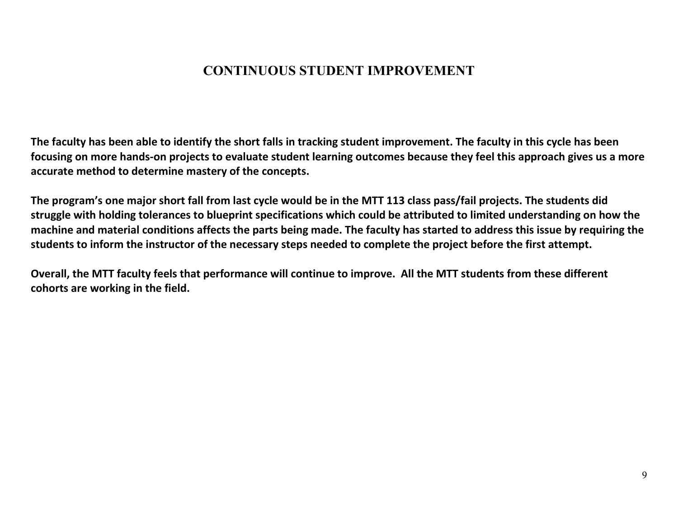#### **CONTINUOUS STUDENT IMPROVEMENT**

**The faculty has been able to identify the short falls in tracking student improvement. The faculty in this cycle has been focusing on more hands-on projects to evaluate student learning outcomes because they feel this approach gives us a more accurate method to determine mastery of the concepts.** 

**The program's one major short fall from last cycle would be in the MTT 113 class pass/fail projects. The students did struggle with holding tolerances to blueprint specifications which could be attributed to limited understanding on how the machine and material conditions affects the parts being made. The faculty has started to address this issue by requiring the students to inform the instructor of the necessary steps needed to complete the project before the first attempt.**

**Overall, the MTT faculty feels that performance will continue to improve. All the MTT students from these different cohorts are working in the field.**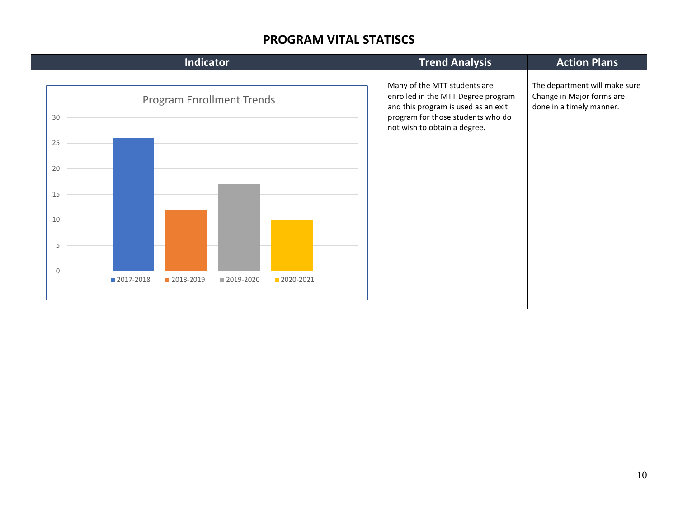#### **PROGRAM VITAL STATISCS**

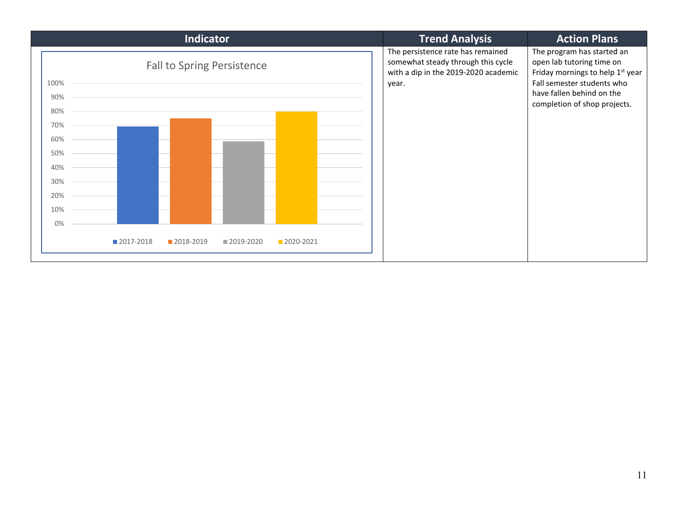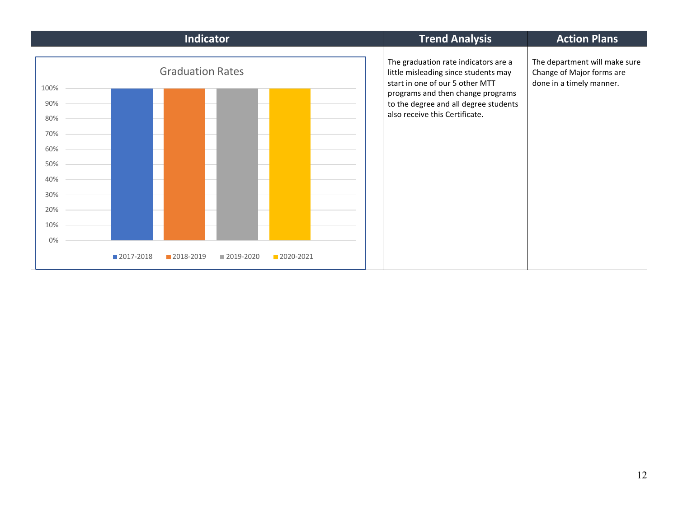| <b>Indicator</b>                                                                 | <b>Trend Analysis</b>                                                                                                                                                                                                           | <b>Action Plans</b>                                                                    |
|----------------------------------------------------------------------------------|---------------------------------------------------------------------------------------------------------------------------------------------------------------------------------------------------------------------------------|----------------------------------------------------------------------------------------|
| <b>Graduation Rates</b><br>100%<br>90%<br>80%<br>70%<br>60%<br>50%<br>40%<br>30% | The graduation rate indicators are a<br>little misleading since students may<br>start in one of our 5 other MTT<br>programs and then change programs<br>to the degree and all degree students<br>also receive this Certificate. | The department will make sure<br>Change of Major forms are<br>done in a timely manner. |
| 20%<br>10%<br>0%                                                                 |                                                                                                                                                                                                                                 |                                                                                        |
| ■ 2017-2018<br>2018-2019<br>2020-2021<br>■ 2019-2020                             |                                                                                                                                                                                                                                 |                                                                                        |